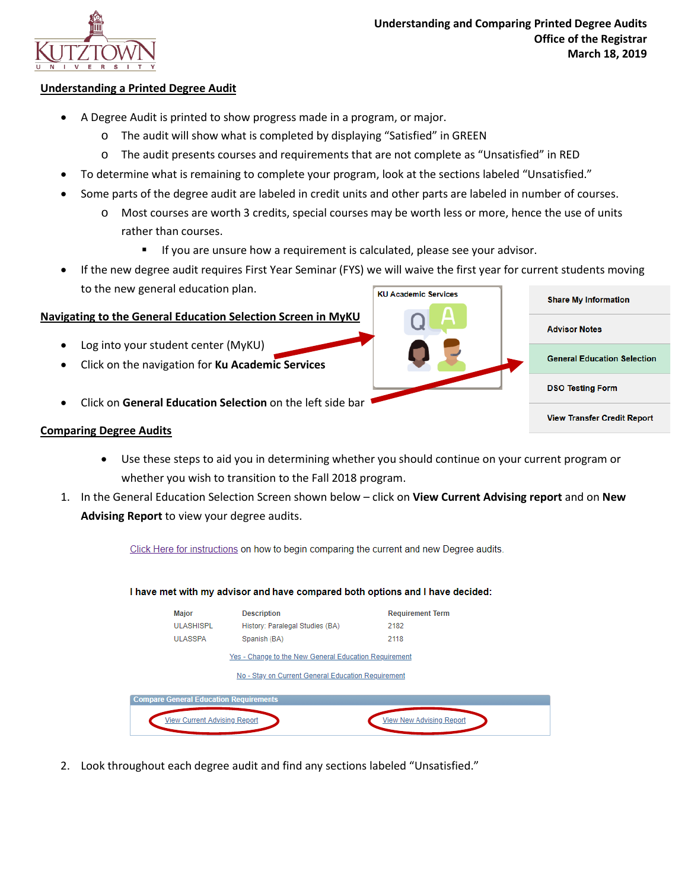

**Advisor Notes** 

**DSO Testing Form** 

**General Education Selection** 

**View Transfer Credit Report** 

## **Understanding a Printed Degree Audit**

- A Degree Audit is printed to show progress made in a program, or major.
	- o The audit will show what is completed by displaying "Satisfied" in GREEN
	- o The audit presents courses and requirements that are not complete as "Unsatisfied" in RED
- To determine what is remaining to complete your program, look at the sections labeled "Unsatisfied."
- Some parts of the degree audit are labeled in credit units and other parts are labeled in number of courses.
	- o Most courses are worth 3 credits, special courses may be worth less or more, hence the use of units rather than courses.
		- **If you are unsure how a requirement is calculated, please see your advisor.**
- If the new degree audit requires First Year Seminar (FYS) we will waive the first year for current students moving to the new general education plan. **KU Academic Services Share My Information**

## **Navigating to the General Education Selection Screen in MyKU**

- Log into your student center (MyKU)
- Click on the navigation for **Ku Academic Services**
- Click on **General Education Selection** on the left side bar

## **Comparing Degree Audits**

- Use these steps to aid you in determining whether you should continue on your current program or whether you wish to transition to the Fall 2018 program.
- 1. In the General Education Selection Screen shown below click on **View Current Advising report** and on **New Advising Report** to view your degree audits.

Click Here for instructions on how to begin comparing the current and new Degree audits.

I have met with my advisor and have compared both options and I have decided:

|                                                       | Major                               | <b>Description</b>              | <b>Requirement Term</b>         |  |
|-------------------------------------------------------|-------------------------------------|---------------------------------|---------------------------------|--|
|                                                       | <b>ULASHISPL</b>                    | History: Paralegal Studies (BA) | 2182                            |  |
|                                                       | <b>ULASSPA</b>                      | Spanish (BA)                    | 2118                            |  |
| Yes - Change to the New General Education Requirement |                                     |                                 |                                 |  |
| No - Stay on Current General Education Requirement    |                                     |                                 |                                 |  |
| <b>Compare General Education Requirements</b>         |                                     |                                 |                                 |  |
|                                                       |                                     |                                 |                                 |  |
|                                                       | <b>View Current Advising Report</b> |                                 | <b>View New Advising Report</b> |  |
|                                                       |                                     |                                 |                                 |  |

2. Look throughout each degree audit and find any sections labeled "Unsatisfied."